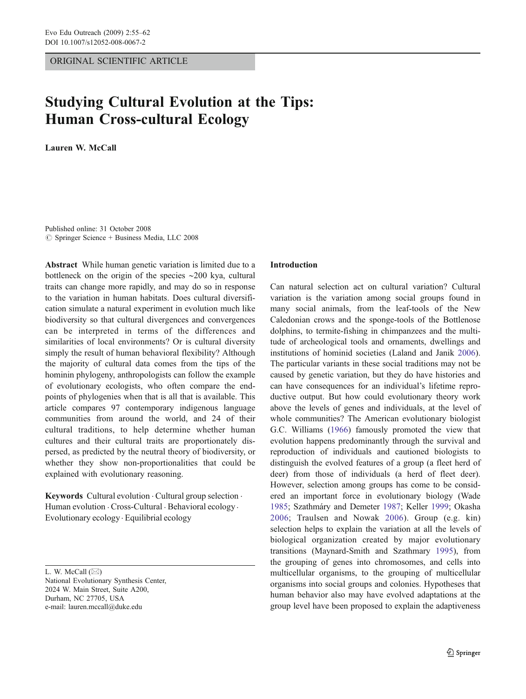ORIGINAL SCIENTIFIC ARTICLE

# Studying Cultural Evolution at the Tips: Human Cross-cultural Ecology

Lauren W. McCall

Published online: 31 October 2008  $\circled{c}$  Springer Science + Business Media, LLC 2008

Abstract While human genetic variation is limited due to a bottleneck on the origin of the species ∼200 kya, cultural traits can change more rapidly, and may do so in response to the variation in human habitats. Does cultural diversification simulate a natural experiment in evolution much like biodiversity so that cultural divergences and convergences can be interpreted in terms of the differences and similarities of local environments? Or is cultural diversity simply the result of human behavioral flexibility? Although the majority of cultural data comes from the tips of the hominin phylogeny, anthropologists can follow the example of evolutionary ecologists, who often compare the endpoints of phylogenies when that is all that is available. This article compares 97 contemporary indigenous language communities from around the world, and 24 of their cultural traditions, to help determine whether human cultures and their cultural traits are proportionately dispersed, as predicted by the neutral theory of biodiversity, or whether they show non-proportionalities that could be explained with evolutionary reasoning.

Keywords Cultural evolution . Cultural group selection . Human evolution · Cross-Cultural · Behavioral ecology · Evolutionary ecology. Equilibrial ecology

L. W. McCall  $(\boxtimes)$ National Evolutionary Synthesis Center, 2024 W. Main Street, Suite A200, Durham, NC 27705, USA e-mail: lauren.mccall@duke.edu

# Introduction

Can natural selection act on cultural variation? Cultural variation is the variation among social groups found in many social animals, from the leaf-tools of the New Caledonian crows and the sponge-tools of the Bottlenose dolphins, to termite-fishing in chimpanzees and the multitude of archeological tools and ornaments, dwellings and institutions of hominid societies (Laland and Janik [2006\)](#page-7-0). The particular variants in these social traditions may not be caused by genetic variation, but they do have histories and can have consequences for an individual's lifetime reproductive output. But how could evolutionary theory work above the levels of genes and individuals, at the level of whole communities? The American evolutionary biologist G.C. Williams [\(1966](#page-7-0)) famously promoted the view that evolution happens predominantly through the survival and reproduction of individuals and cautioned biologists to distinguish the evolved features of a group (a fleet herd of deer) from those of individuals (a herd of fleet deer). However, selection among groups has come to be considered an important force in evolutionary biology (Wade [1985](#page-7-0); Szathmáry and Demeter [1987;](#page-7-0) Keller [1999](#page-7-0); Okasha [2006;](#page-7-0) Traulsen and Nowak [2006](#page-7-0)). Group (e.g. kin) selection helps to explain the variation at all the levels of biological organization created by major evolutionary transitions (Maynard-Smith and Szathmary [1995](#page-7-0)), from the grouping of genes into chromosomes, and cells into multicellular organisms, to the grouping of multicellular organisms into social groups and colonies. Hypotheses that human behavior also may have evolved adaptations at the group level have been proposed to explain the adaptiveness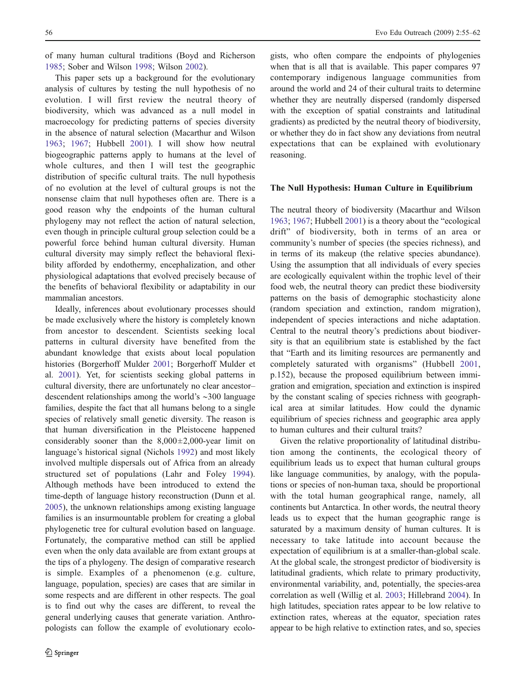of many human cultural traditions (Boyd and Richerson [1985](#page-7-0); Sober and Wilson [1998;](#page-7-0) Wilson [2002](#page-7-0)).

This paper sets up a background for the evolutionary analysis of cultures by testing the null hypothesis of no evolution. I will first review the neutral theory of biodiversity, which was advanced as a null model in macroecology for predicting patterns of species diversity in the absence of natural selection (Macarthur and Wilson [1963](#page-7-0); [1967](#page-7-0); Hubbell [2001\)](#page-7-0). I will show how neutral biogeographic patterns apply to humans at the level of whole cultures, and then I will test the geographic distribution of specific cultural traits. The null hypothesis of no evolution at the level of cultural groups is not the nonsense claim that null hypotheses often are. There is a good reason why the endpoints of the human cultural phylogeny may not reflect the action of natural selection, even though in principle cultural group selection could be a powerful force behind human cultural diversity. Human cultural diversity may simply reflect the behavioral flexibility afforded by endothermy, encephalization, and other physiological adaptations that evolved precisely because of the benefits of behavioral flexibility or adaptability in our mammalian ancestors.

Ideally, inferences about evolutionary processes should be made exclusively where the history is completely known from ancestor to descendent. Scientists seeking local patterns in cultural diversity have benefited from the abundant knowledge that exists about local population histories (Borgerhoff Mulder [2001](#page-7-0); Borgerhoff Mulder et al. [2001](#page-7-0)). Yet, for scientists seeking global patterns in cultural diversity, there are unfortunately no clear ancestor– descendent relationships among the world's ∼300 language families, despite the fact that all humans belong to a single species of relatively small genetic diversity. The reason is that human diversification in the Pleistocene happened considerably sooner than the  $8,000\pm2,000$ -year limit on language's historical signal (Nichols [1992](#page-7-0)) and most likely involved multiple dispersals out of Africa from an already structured set of populations (Lahr and Foley [1994](#page-7-0)). Although methods have been introduced to extend the time-depth of language history reconstruction (Dunn et al. [2005](#page-7-0)), the unknown relationships among existing language families is an insurmountable problem for creating a global phylogenetic tree for cultural evolution based on language. Fortunately, the comparative method can still be applied even when the only data available are from extant groups at the tips of a phylogeny. The design of comparative research is simple. Examples of a phenomenon (e.g. culture, language, population, species) are cases that are similar in some respects and are different in other respects. The goal is to find out why the cases are different, to reveal the general underlying causes that generate variation. Anthropologists can follow the example of evolutionary ecologists, who often compare the endpoints of phylogenies when that is all that is available. This paper compares 97 contemporary indigenous language communities from around the world and 24 of their cultural traits to determine whether they are neutrally dispersed (randomly dispersed with the exception of spatial constraints and latitudinal gradients) as predicted by the neutral theory of biodiversity, or whether they do in fact show any deviations from neutral expectations that can be explained with evolutionary reasoning.

# The Null Hypothesis: Human Culture in Equilibrium

The neutral theory of biodiversity (Macarthur and Wilson [1963](#page-7-0); [1967](#page-7-0); Hubbell [2001\)](#page-7-0) is a theory about the "ecological drift" of biodiversity, both in terms of an area or community's number of species (the species richness), and in terms of its makeup (the relative species abundance). Using the assumption that all individuals of every species are ecologically equivalent within the trophic level of their food web, the neutral theory can predict these biodiversity patterns on the basis of demographic stochasticity alone (random speciation and extinction, random migration), independent of species interactions and niche adaptation. Central to the neutral theory's predictions about biodiversity is that an equilibrium state is established by the fact that "Earth and its limiting resources are permanently and completely saturated with organisms" (Hubbell [2001,](#page-7-0) p.152), because the proposed equilibrium between immigration and emigration, speciation and extinction is inspired by the constant scaling of species richness with geographical area at similar latitudes. How could the dynamic equilibrium of species richness and geographic area apply to human cultures and their cultural traits?

Given the relative proportionality of latitudinal distribution among the continents, the ecological theory of equilibrium leads us to expect that human cultural groups like language communities, by analogy, with the populations or species of non-human taxa, should be proportional with the total human geographical range, namely, all continents but Antarctica. In other words, the neutral theory leads us to expect that the human geographic range is saturated by a maximum density of human cultures. It is necessary to take latitude into account because the expectation of equilibrium is at a smaller-than-global scale. At the global scale, the strongest predictor of biodiversity is latitudinal gradients, which relate to primary productivity, environmental variability, and, potentially, the species-area correlation as well (Willig et al. [2003;](#page-7-0) Hillebrand [2004](#page-7-0)). In high latitudes, speciation rates appear to be low relative to extinction rates, whereas at the equator, speciation rates appear to be high relative to extinction rates, and so, species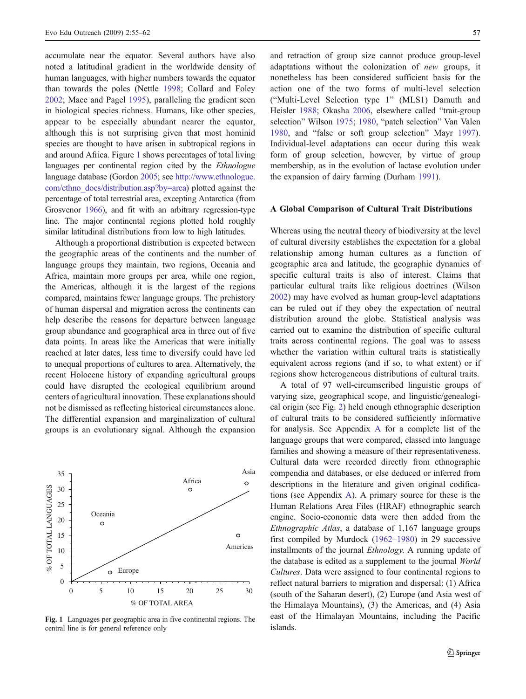accumulate near the equator. Several authors have also noted a latitudinal gradient in the worldwide density of human languages, with higher numbers towards the equator than towards the poles (Nettle [1998;](#page-7-0) Collard and Foley [2002](#page-7-0); Mace and Pagel [1995\)](#page-7-0), paralleling the gradient seen in biological species richness. Humans, like other species, appear to be especially abundant nearer the equator, although this is not surprising given that most hominid species are thought to have arisen in subtropical regions in and around Africa. Figure 1 shows percentages of total living languages per continental region cited by the Ethnologue language database (Gordon [2005;](#page-7-0) see [http://www.ethnologue.](http://www.ethnologue.com/ethno_docs/distribution.asp?by=area) [com/ethno\\_docs/distribution.asp?by=area\)](http://www.ethnologue.com/ethno_docs/distribution.asp?by=area) plotted against the percentage of total terrestrial area, excepting Antarctica (from Grosvenor [1966\)](#page-7-0), and fit with an arbitrary regression-type line. The major continental regions plotted hold roughly similar latitudinal distributions from low to high latitudes.

Although a proportional distribution is expected between the geographic areas of the continents and the number of language groups they maintain, two regions, Oceania and Africa, maintain more groups per area, while one region, the Americas, although it is the largest of the regions compared, maintains fewer language groups. The prehistory of human dispersal and migration across the continents can help describe the reasons for departure between language group abundance and geographical area in three out of five data points. In areas like the Americas that were initially reached at later dates, less time to diversify could have led to unequal proportions of cultures to area. Alternatively, the recent Holocene history of expanding agricultural groups could have disrupted the ecological equilibrium around centers of agricultural innovation. These explanations should not be dismissed as reflecting historical circumstances alone. The differential expansion and marginalization of cultural groups is an evolutionary signal. Although the expansion



Fig. 1 Languages per geographic area in five continental regions. The central line is for general reference only

and retraction of group size cannot produce group-level adaptations without the colonization of new groups, it nonetheless has been considered sufficient basis for the action one of the two forms of multi-level selection ("Multi-Level Selection type 1" (MLS1) Damuth and Heisler [1988;](#page-7-0) Okasha [2006,](#page-7-0) elsewhere called "trait-group selection" Wilson [1975](#page-7-0); [1980,](#page-7-0) "patch selection" Van Valen [1980](#page-7-0), and "false or soft group selection" Mayr [1997\)](#page-7-0). Individual-level adaptations can occur during this weak form of group selection, however, by virtue of group membership, as in the evolution of lactase evolution under the expansion of dairy farming (Durham [1991](#page-7-0)).

## A Global Comparison of Cultural Trait Distributions

Whereas using the neutral theory of biodiversity at the level of cultural diversity establishes the expectation for a global relationship among human cultures as a function of geographic area and latitude, the geographic dynamics of specific cultural traits is also of interest. Claims that particular cultural traits like religious doctrines (Wilson [2002](#page-7-0)) may have evolved as human group-level adaptations can be ruled out if they obey the expectation of neutral distribution around the globe. Statistical analysis was carried out to examine the distribution of specific cultural traits across continental regions. The goal was to assess whether the variation within cultural traits is statistically equivalent across regions (and if so, to what extent) or if regions show heterogeneous distributions of cultural traits.

A total of 97 well-circumscribed linguistic groups of varying size, geographical scope, and linguistic/genealogical origin (see Fig. [2](#page-3-0)) held enough ethnographic description of cultural traits to be considered sufficiently informative for analysis. See Appendix [A](#page-5-0) for a complete list of the language groups that were compared, classed into language families and showing a measure of their representativeness. Cultural data were recorded directly from ethnographic compendia and databases, or else deduced or inferred from descriptions in the literature and given original codifications (see Appendix [A\)](#page-5-0). A primary source for these is the Human Relations Area Files (HRAF) ethnographic search engine. Socio-economic data were then added from the Ethnographic Atlas, a database of 1,167 language groups first compiled by Murdock (1962–[1980](#page-7-0)) in 29 successive installments of the journal Ethnology. A running update of the database is edited as a supplement to the journal World Cultures. Data were assigned to four continental regions to reflect natural barriers to migration and dispersal: (1) Africa (south of the Saharan desert), (2) Europe (and Asia west of the Himalaya Mountains), (3) the Americas, and (4) Asia east of the Himalayan Mountains, including the Pacific islands.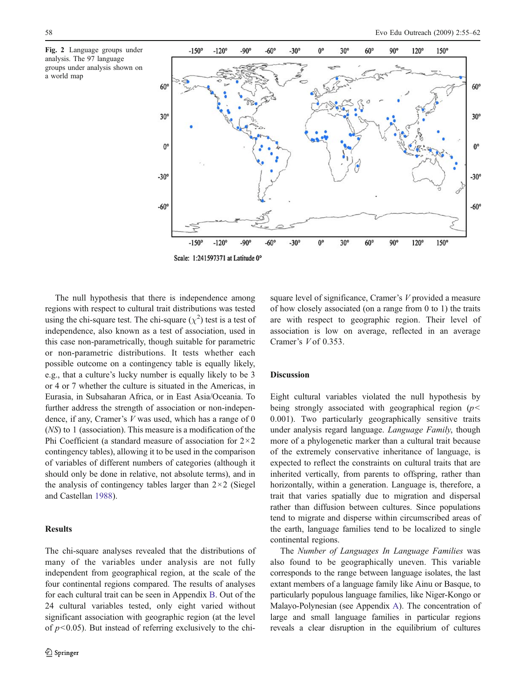<span id="page-3-0"></span>Fig. 2 Language groups under analysis. The 97 language groups under analysis shown on a world map



The null hypothesis that there is independence among regions with respect to cultural trait distributions was tested using the chi-square test. The chi-square  $(\chi^2)$  test is a test of independence, also known as a test of association, used in this case non-parametrically, though suitable for parametric or non-parametric distributions. It tests whether each possible outcome on a contingency table is equally likely, e.g., that a culture's lucky number is equally likely to be 3 or 4 or 7 whether the culture is situated in the Americas, in Eurasia, in Subsaharan Africa, or in East Asia/Oceania. To further address the strength of association or non-independence, if any, Cramer's  $V$  was used, which has a range of 0 (NS) to 1 (association). This measure is a modification of the Phi Coefficient (a standard measure of association for  $2 \times 2$ contingency tables), allowing it to be used in the comparison of variables of different numbers of categories (although it should only be done in relative, not absolute terms), and in the analysis of contingency tables larger than  $2\times 2$  (Siegel and Castellan [1988](#page-7-0)).

# Results

The chi-square analyses revealed that the distributions of many of the variables under analysis are not fully independent from geographical region, at the scale of the four continental regions compared. The results of analyses for each cultural trait can be seen in Appendix [B.](#page-7-0) Out of the 24 cultural variables tested, only eight varied without significant association with geographic region (at the level of  $p<0.05$ ). But instead of referring exclusively to the chisquare level of significance, Cramer's V provided a measure of how closely associated (on a range from 0 to 1) the traits are with respect to geographic region. Their level of association is low on average, reflected in an average Cramer's V of 0.353.

# Discussion

Eight cultural variables violated the null hypothesis by being strongly associated with geographical region  $(p<$ 0.001). Two particularly geographically sensitive traits under analysis regard language. Language Family, though more of a phylogenetic marker than a cultural trait because of the extremely conservative inheritance of language, is expected to reflect the constraints on cultural traits that are inherited vertically, from parents to offspring, rather than horizontally, within a generation. Language is, therefore, a trait that varies spatially due to migration and dispersal rather than diffusion between cultures. Since populations tend to migrate and disperse within circumscribed areas of the earth, language families tend to be localized to single continental regions.

The Number of Languages In Language Families was also found to be geographically uneven. This variable corresponds to the range between language isolates, the last extant members of a language family like Ainu or Basque, to particularly populous language families, like Niger-Kongo or Malayo-Polynesian (see Appendix [A\)](#page-5-0). The concentration of large and small language families in particular regions reveals a clear disruption in the equilibrium of cultures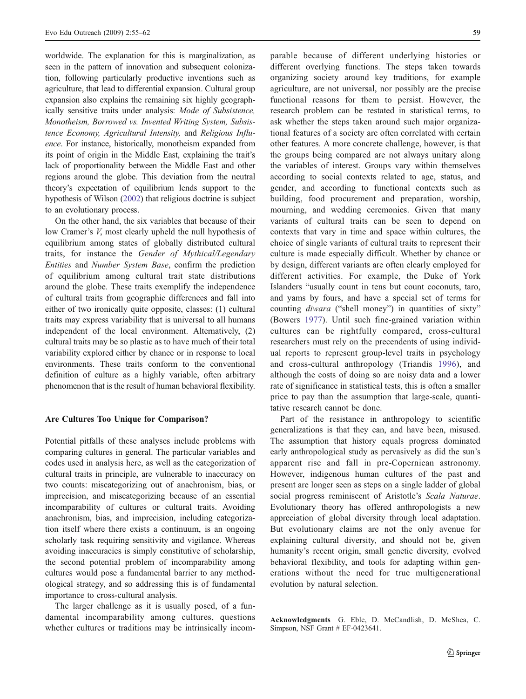worldwide. The explanation for this is marginalization, as seen in the pattern of innovation and subsequent colonization, following particularly productive inventions such as agriculture, that lead to differential expansion. Cultural group expansion also explains the remaining six highly geographically sensitive traits under analysis: Mode of Subsistence, Monotheism, Borrowed vs. Invented Writing System, Subsistence Economy, Agricultural Intensity, and Religious Influence. For instance, historically, monotheism expanded from its point of origin in the Middle East, explaining the trait's lack of proportionality between the Middle East and other regions around the globe. This deviation from the neutral theory's expectation of equilibrium lends support to the hypothesis of Wilson [\(2002](#page-7-0)) that religious doctrine is subject to an evolutionary process.

On the other hand, the six variables that because of their low Cramer's V, most clearly upheld the null hypothesis of equilibrium among states of globally distributed cultural traits, for instance the Gender of Mythical/Legendary Entities and Number System Base, confirm the prediction of equilibrium among cultural trait state distributions around the globe. These traits exemplify the independence of cultural traits from geographic differences and fall into either of two ironically quite opposite, classes: (1) cultural traits may express variability that is universal to all humans independent of the local environment. Alternatively, (2) cultural traits may be so plastic as to have much of their total variability explored either by chance or in response to local environments. These traits conform to the conventional definition of culture as a highly variable, often arbitrary phenomenon that is the result of human behavioral flexibility.

# Are Cultures Too Unique for Comparison?

Potential pitfalls of these analyses include problems with comparing cultures in general. The particular variables and codes used in analysis here, as well as the categorization of cultural traits in principle, are vulnerable to inaccuracy on two counts: miscategorizing out of anachronism, bias, or imprecision, and miscategorizing because of an essential incomparability of cultures or cultural traits. Avoiding anachronism, bias, and imprecision, including categorization itself where there exists a continuum, is an ongoing scholarly task requiring sensitivity and vigilance. Whereas avoiding inaccuracies is simply constitutive of scholarship, the second potential problem of incomparability among cultures would pose a fundamental barrier to any methodological strategy, and so addressing this is of fundamental importance to cross-cultural analysis.

The larger challenge as it is usually posed, of a fundamental incomparability among cultures, questions whether cultures or traditions may be intrinsically incomparable because of different underlying histories or different overlying functions. The steps taken towards organizing society around key traditions, for example agriculture, are not universal, nor possibly are the precise functional reasons for them to persist. However, the research problem can be restated in statistical terms, to ask whether the steps taken around such major organizational features of a society are often correlated with certain other features. A more concrete challenge, however, is that the groups being compared are not always unitary along the variables of interest. Groups vary within themselves according to social contexts related to age, status, and gender, and according to functional contexts such as building, food procurement and preparation, worship, mourning, and wedding ceremonies. Given that many variants of cultural traits can be seen to depend on contexts that vary in time and space within cultures, the choice of single variants of cultural traits to represent their culture is made especially difficult. Whether by chance or by design, different variants are often clearly employed for different activities. For example, the Duke of York Islanders "usually count in tens but count coconuts, taro, and yams by fours, and have a special set of terms for counting diwara ("shell money") in quantities of sixty" (Bowers [1977](#page-7-0)). Until such fine-grained variation within cultures can be rightfully compared, cross-cultural researchers must rely on the precendents of using individual reports to represent group-level traits in psychology and cross-cultural anthropology (Triandis [1996\)](#page-7-0), and although the costs of doing so are noisy data and a lower rate of significance in statistical tests, this is often a smaller price to pay than the assumption that large-scale, quantitative research cannot be done.

Part of the resistance in anthropology to scientific generalizations is that they can, and have been, misused. The assumption that history equals progress dominated early anthropological study as pervasively as did the sun's apparent rise and fall in pre-Copernican astronomy. However, indigenous human cultures of the past and present are longer seen as steps on a single ladder of global social progress reminiscent of Aristotle's Scala Naturae. Evolutionary theory has offered anthropologists a new appreciation of global diversity through local adaptation. But evolutionary claims are not the only avenue for explaining cultural diversity, and should not be, given humanity's recent origin, small genetic diversity, evolved behavioral flexibility, and tools for adapting within generations without the need for true multigenerational evolution by natural selection.

Acknowledgments G. Eble, D. McCandlish, D. McShea, C. Simpson, NSF Grant # EF-0423641.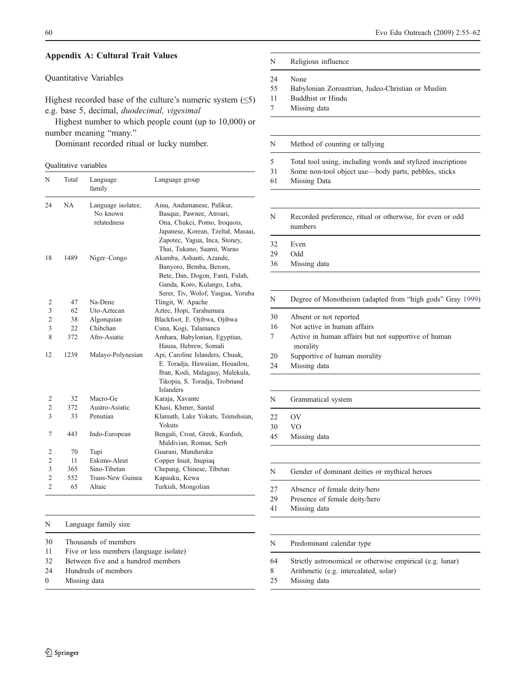## <span id="page-5-0"></span>Appendix A: Cultural Trait Values

## Quantitative Variables

Highest recorded base of the culture's numeric system  $(\leq 5)$ e.g. base 5, decimal, duodecimal, vigesimal

Highest number to which people count (up to 10,000) or number meaning "many."

Dominant recorded ritual or lucky number.

# Qualitative variables Qualitative variables

| N              | Total | Language<br>family                            | Language group                                                                                                                                                                              |
|----------------|-------|-----------------------------------------------|---------------------------------------------------------------------------------------------------------------------------------------------------------------------------------------------|
| 24             | NA.   | Language isolates;<br>No known<br>relatedness | Ainu, Andamanese, Palikur,<br>Basque, Pawnee, Atroari,<br>Ona, Chukci, Pomo, Iroquois,<br>Japanese, Korean, Tzeltal, Masaai,<br>Zapotec, Yagua, Inca, Stoney,<br>Thai, Tukano, Saami, Warao |
| 18             | 1489  | Niger-Congo                                   | Akamba, Ashanti, Azande,<br>Banyoro, Bemba, Berom,<br>Bete, Dan, Dogon, Fanti, Fulah,<br>Ganda, Koro, Kulango, Luba,<br>Serer, Tiv, Wolof, Yasgua, Yoruba                                   |
| $\overline{2}$ | 47    | Na-Dene                                       | Tlingit, W. Apache                                                                                                                                                                          |
| 3              | 62    | Uto-Aztecan                                   | Aztec, Hopi, Tarahumara                                                                                                                                                                     |
| $\overline{c}$ | 38    | Algonquian                                    | Blackfoot, E. Ojibwa, Ojibwa                                                                                                                                                                |
| $\overline{3}$ | 22    | Chibchan                                      | Cuna, Kogi, Talamanca                                                                                                                                                                       |
| 8              | 372   | Afro-Asiatic                                  | Amhara, Babylonian, Egyptian,<br>Hausa, Hebrew, Somali                                                                                                                                      |
| 12             | 1239  | Malayo-Polynesian                             | Api, Caroline Islanders, Chuuk,<br>E. Toradja, Hawaiian, Houailou,<br>Iban, Kodi, Malagasy, Malekula,<br>Tikopia, S. Toradja, Trobriand<br><b>Islanders</b>                                 |
| $\overline{2}$ | 32    | Macro-Ge                                      | Karaja, Xavante                                                                                                                                                                             |
| $\overline{2}$ | 372   | Austro-Asiatic                                | Khasi, Khmer, Santal                                                                                                                                                                        |
| 3              | 33    | Penutian                                      | Klamath, Lake Yokuts, Tsimshsian,<br>Yokuts                                                                                                                                                 |
| 7              | 443   | Indo-European                                 | Bengali, Croat, Greek, Kurdish,<br>Maldivian, Roman, Serb                                                                                                                                   |
| $\overline{2}$ | 70    | Tupi                                          | Guarani, Munduruku                                                                                                                                                                          |
| $\overline{2}$ | 11    | Eskimo-Aleut                                  | Copper Inuit, Inupiaq                                                                                                                                                                       |
| 3              | 365   | Sino-Tibetan                                  | Chepang, Chinese, Tibetan                                                                                                                                                                   |
| $\overline{c}$ | 552   | Trans-New Guinea                              | Kapauku, Kewa                                                                                                                                                                               |
| $\overline{2}$ | 65    | Altaic                                        | Turkish, Mongolian                                                                                                                                                                          |

# N Language family size

- 30 Thousands of members
- 11 Five or less members (language isolate)
- 32 Between five and a hundred members
- 24 Hundreds of members
- 0 Missing data

# N Religious influence

- 24 None
- 55 Babylonian Zoroastrian, Judeo-Christian or Muslim
- 11 Buddhist or Hindu
- 7 Missing data

## N Method of counting or tallying

- 5 Total tool using, including words and stylized inscriptions
- 31 Some non-tool object use—body parts, pebbles, sticks
- 61 Missing Data
- N Recorded preference, ritual or otherwise, for even or odd numbers
- 32 Even
- 29 Odd
- 36 Missing data

## N Degree of Monotheism (adapted from "high gods" Gray [1999\)](#page-7-0)

- 30 Absent or not reported
- 16 Not active in human affairs
- 7 Active in human affairs but not supportive of human morality
- 20 Supportive of human morality
- 24 Missing data

## N Grammatical system

- 22 OV
- 30 VO
- 45 Missing data
- N Gender of dominant deities or mythical heroes
- 27 Absence of female deity/hero
- 29 Presence of female deity/hero
- 41 Missing data

# N Predominant calendar type

- 64 Strictly astronomical or otherwise empirical (e.g. lunar)
- 8 Arithmetic (e.g. intercalated, solar)
- 25 Missing data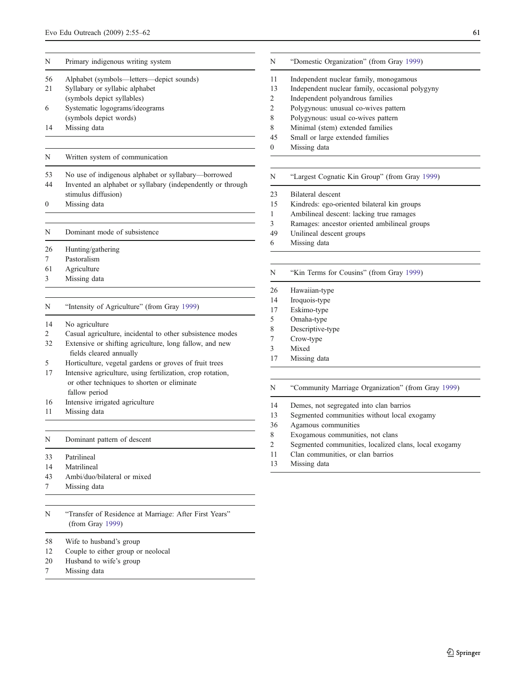| N        | Primary indigenous writing system                                                  | N              | "Domestic   |
|----------|------------------------------------------------------------------------------------|----------------|-------------|
| 56       | Alphabet (symbols—letters—depict sounds)                                           | 11             | Independe   |
| 21       | Syllabary or syllabic alphabet                                                     | 13             | Independe   |
|          | (symbols depict syllables)                                                         | $\overline{2}$ | Independe   |
| 6        | Systematic logograms/ideograms                                                     | $\overline{2}$ | Polygynou   |
|          | (symbols depict words)                                                             | 8              | Polygynou   |
| 14       | Missing data                                                                       | 8              | Minimal (   |
|          |                                                                                    | 45             | Small or 1  |
|          |                                                                                    | $\mathbf{0}$   | Missing da  |
| N        | Written system of communication                                                    |                |             |
| 53       | No use of indigenous alphabet or syllabary-borrowed                                | N              | "Largest C  |
| 44       | Invented an alphabet or syllabary (independently or through<br>stimulus diffusion) | 23             | Bilateral d |
| $\Omega$ | Missing data                                                                       | 15             | Kindreds:   |
|          |                                                                                    | 1              | Ambilinea   |
|          |                                                                                    | 3              | Ramages:    |
| N        | Dominant mode of subsistence                                                       | 49             | Unilineal   |
|          |                                                                                    | 6              | Missing da  |
| 26       | Hunting/gathering                                                                  |                |             |
| 7        | Pastoralism                                                                        |                |             |
| 61       | Agriculture                                                                        | N              | "Kin Tern   |
| 3        | Missing data                                                                       |                |             |
|          |                                                                                    | 26             | Hawaiian-   |
|          |                                                                                    | 14             | Iroquois-ty |
| N        | "Intensity of Agriculture" (from Gray 1999)                                        |                | Eskimo-ty   |
| 14       | No agriculture                                                                     | 5              | Omaha-ty    |
| 2        | Casual agriculture, incidental to other subsistence modes                          | 8<br>7         | Descriptiv  |
| 32       | Extensive or shifting agriculture, long fallow, and new                            |                | Crow-type   |
|          | fields cleared annually                                                            | 3              | Mixed       |
|          |                                                                                    | 17             | Missing da  |

- 5 Horticulture, vegetal gardens or groves of fruit trees
- 17 Intensive agriculture, using fertilization, crop rotation, or other techniques to shorten or eliminate fallow period
- 16 Intensive irrigated agriculture
- 11 Missing data

## N Dominant pattern of descent

- 33 Patrilineal
- 14 Matrilineal
- 43 Ambi/duo/bilateral or mixed
- 7 Missing data
- N "Transfer of Residence at Marriage: After First Years" (from Gray [1999](#page-7-0))
- 58 Wife to husband's group
- 12 Couple to either group or neolocal
- 20 Husband to wife's group
- 7 Missing data
- c Organization" (from Gray [1999](#page-7-0)) ent nuclear family, monogamous ent nuclear family, occasional polygyny
- ent polyandrous families
- us: unusual co-wives pattern
- us: usual co-wives pattern
- (stem) extended families
- large extended families
- data
- Cognatic Kin Group" (from Gray [1999](#page-7-0))

# descent

- ego-oriented bilateral kin groups
- al descent: lacking true ramages
- ancestor oriented ambilineal groups
- descent groups
- data

#### ms for Cousins" (from Gray [1999](#page-7-0))

- -type
- type
- <sub>vpe</sub>
- /pe
- ve-type
- 
- data
- N "Community Marriage Organization" (from Gray [1999\)](#page-7-0)
- 14 Demes, not segregated into clan barrios
- 13 Segmented communities without local exogamy
- 36 Agamous communities
- 8 Exogamous communities, not clans
- 2 Segmented communities, localized clans, local exogamy
- 11 Clan communities, or clan barrios
- 13 Missing data